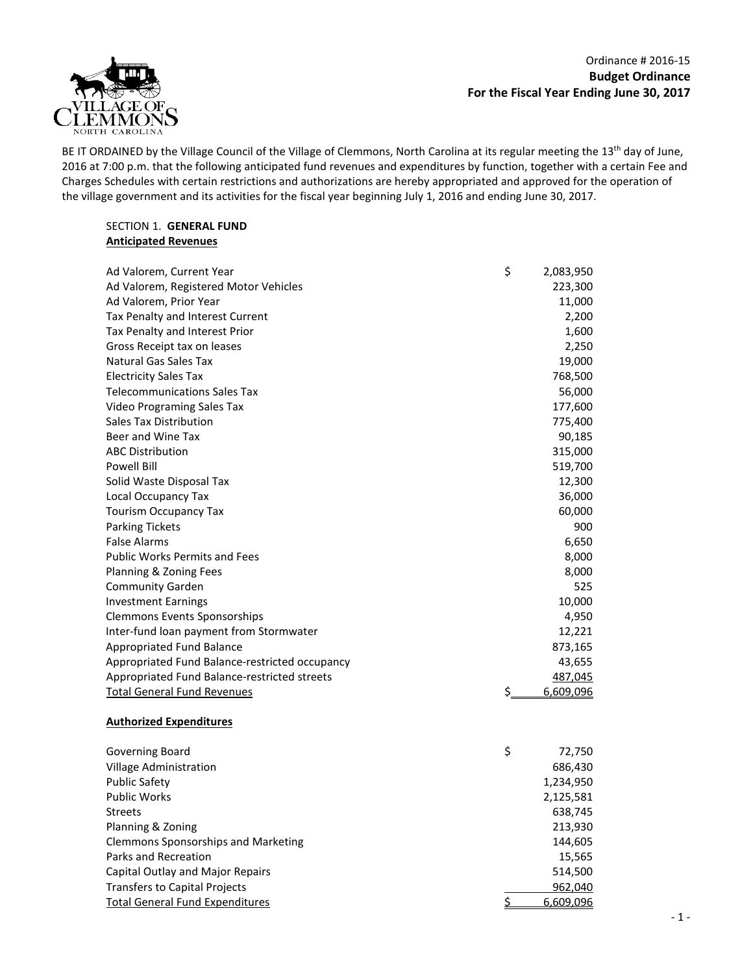Ordinance # 2016-15 **Budget Ordinance For the Fiscal Year Ending June 30, 2017**



BE IT ORDAINED by the Village Council of the Village of Clemmons, North Carolina at its regular meeting the 13<sup>th</sup> day of June, 2016 at 7:00 p.m. that the following anticipated fund revenues and expenditures by function, together with a certain Fee and Charges Schedules with certain restrictions and authorizations are hereby appropriated and approved for the operation of the village government and its activities for the fiscal year beginning July 1, 2016 and ending June 30, 2017.

### SECTION 1. **GENERAL FUND Anticipated Revenues**

| Ad Valorem, Current Year                       | \$ | 2,083,950 |
|------------------------------------------------|----|-----------|
| Ad Valorem, Registered Motor Vehicles          |    | 223,300   |
| Ad Valorem, Prior Year                         |    | 11,000    |
| Tax Penalty and Interest Current               |    | 2,200     |
| Tax Penalty and Interest Prior                 |    | 1,600     |
| Gross Receipt tax on leases                    |    | 2,250     |
| <b>Natural Gas Sales Tax</b>                   |    | 19,000    |
| <b>Electricity Sales Tax</b>                   |    | 768,500   |
| <b>Telecommunications Sales Tax</b>            |    | 56,000    |
| Video Programing Sales Tax                     |    | 177,600   |
| Sales Tax Distribution                         |    | 775,400   |
| Beer and Wine Tax                              |    | 90,185    |
| <b>ABC Distribution</b>                        |    | 315,000   |
| <b>Powell Bill</b>                             |    | 519,700   |
| Solid Waste Disposal Tax                       |    | 12,300    |
| Local Occupancy Tax                            |    | 36,000    |
| <b>Tourism Occupancy Tax</b>                   |    | 60,000    |
| <b>Parking Tickets</b>                         |    | 900       |
| <b>False Alarms</b>                            |    | 6,650     |
| <b>Public Works Permits and Fees</b>           |    | 8,000     |
| Planning & Zoning Fees                         |    | 8,000     |
| <b>Community Garden</b>                        |    | 525       |
| <b>Investment Earnings</b>                     |    | 10,000    |
| <b>Clemmons Events Sponsorships</b>            |    | 4,950     |
| Inter-fund loan payment from Stormwater        |    | 12,221    |
| <b>Appropriated Fund Balance</b>               |    | 873,165   |
| Appropriated Fund Balance-restricted occupancy |    | 43,655    |
| Appropriated Fund Balance-restricted streets   |    | 487,045   |
| <b>Total General Fund Revenues</b>             | Ś. | 6,609,096 |
| <b>Authorized Expenditures</b>                 |    |           |
|                                                |    |           |
| Governing Board                                | \$ | 72,750    |
| Village Administration                         |    | 686,430   |
| <b>Public Safety</b>                           |    | 1,234,950 |
| <b>Public Works</b>                            |    | 2,125,581 |
| <b>Streets</b>                                 |    | 638,745   |
| Planning & Zoning                              |    | 213,930   |
| Clemmons Sponsorships and Marketing            |    | 144,605   |
| Parks and Recreation                           |    | 15,565    |
| Capital Outlay and Major Repairs               |    | 514,500   |
| <b>Transfers to Capital Projects</b>           |    | 962,040   |
| <b>Total General Fund Expenditures</b>         | \$ | 6,609,096 |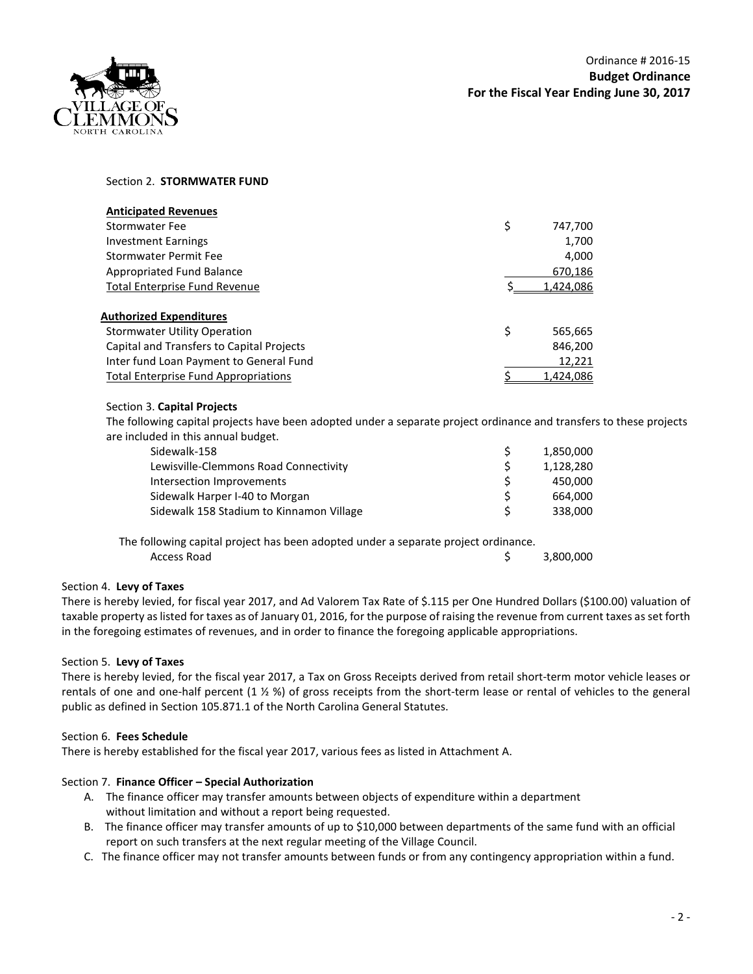

## Section 2. **STORMWATER FUND**

| <b>Anticipated Revenues</b>                 |               |
|---------------------------------------------|---------------|
| Stormwater Fee                              | \$<br>747,700 |
| <b>Investment Earnings</b>                  | 1,700         |
| Stormwater Permit Fee                       | 4,000         |
| Appropriated Fund Balance                   | 670,186       |
| <b>Total Enterprise Fund Revenue</b>        | 1,424,086     |
|                                             |               |
| Authorized Expenditures                     |               |
| <b>Stormwater Utility Operation</b>         | \$<br>565,665 |
| Capital and Transfers to Capital Projects   | 846,200       |
| Inter fund Loan Payment to General Fund     | 12,221        |
| <b>Total Enterprise Fund Appropriations</b> | 1,424,086     |

## Section 3. **Capital Projects**

The following capital projects have been adopted under a separate project ordinance and transfers to these projects are included in this annual budget.

| Sidewalk-158                             |   | 1,850,000 |
|------------------------------------------|---|-----------|
| Lewisville-Clemmons Road Connectivity    | Ŝ | 1,128,280 |
| Intersection Improvements                |   | 450.000   |
| Sidewalk Harper I-40 to Morgan           | S | 664.000   |
| Sidewalk 158 Stadium to Kinnamon Village | ς | 338,000   |
|                                          |   |           |

The following capital project has been adopted under a separate project ordinance. Access Road **3,800,000** 

# Section 4. **Levy of Taxes**

There is hereby levied, for fiscal year 2017, and Ad Valorem Tax Rate of \$.115 per One Hundred Dollars (\$100.00) valuation of taxable property as listed for taxes as of January 01, 2016, for the purpose of raising the revenue from current taxes as set forth in the foregoing estimates of revenues, and in order to finance the foregoing applicable appropriations.

## Section 5. **Levy of Taxes**

There is hereby levied, for the fiscal year 2017, a Tax on Gross Receipts derived from retail short-term motor vehicle leases or rentals of one and one-half percent  $(1 \frac{1}{2} \frac{1}{2})$  of gross receipts from the short-term lease or rental of vehicles to the general public as defined in Section 105.871.1 of the North Carolina General Statutes.

## Section 6. **Fees Schedule**

There is hereby established for the fiscal year 2017, various fees as listed in Attachment A.

## Section 7. **Finance Officer – Special Authorization**

- A. The finance officer may transfer amounts between objects of expenditure within a department without limitation and without a report being requested.
- B. The finance officer may transfer amounts of up to \$10,000 between departments of the same fund with an official report on such transfers at the next regular meeting of the Village Council.
- C. The finance officer may not transfer amounts between funds or from any contingency appropriation within a fund.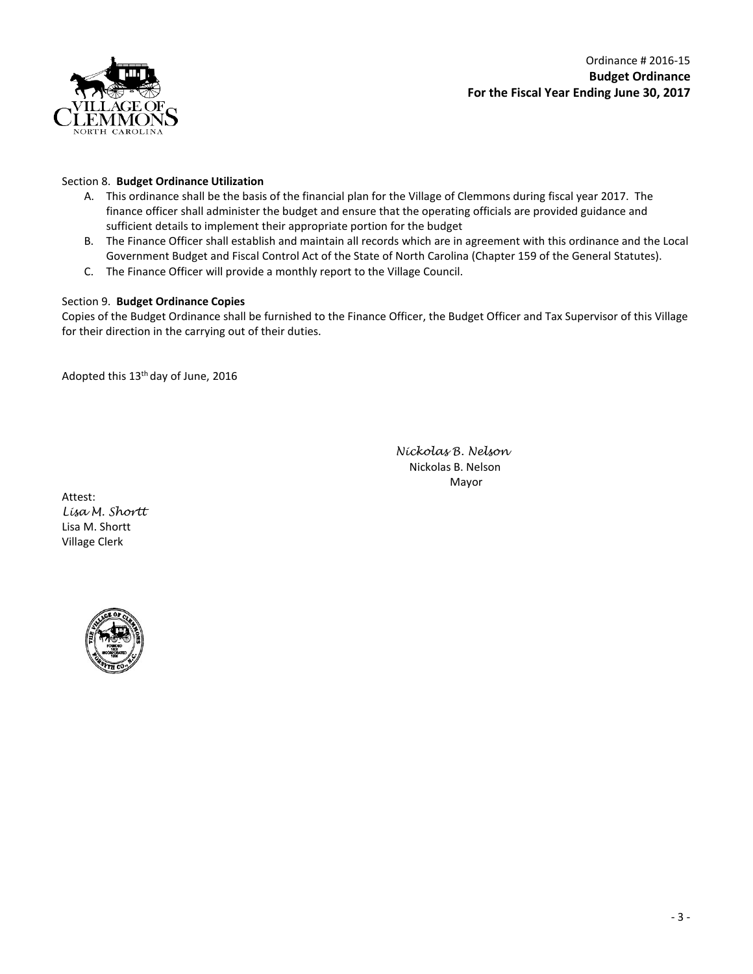

Ordinance # 2016-15 **Budget Ordinance For the Fiscal Year Ending June 30, 2017**

### Section 8. **Budget Ordinance Utilization**

- A. This ordinance shall be the basis of the financial plan for the Village of Clemmons during fiscal year 2017. The finance officer shall administer the budget and ensure that the operating officials are provided guidance and sufficient details to implement their appropriate portion for the budget
- B. The Finance Officer shall establish and maintain all records which are in agreement with this ordinance and the Local Government Budget and Fiscal Control Act of the State of North Carolina (Chapter 159 of the General Statutes).
- C. The Finance Officer will provide a monthly report to the Village Council.

## Section 9. **Budget Ordinance Copies**

Copies of the Budget Ordinance shall be furnished to the Finance Officer, the Budget Officer and Tax Supervisor of this Village for their direction in the carrying out of their duties.

Adopted this 13th day of June, 2016

*Nickolas B. Nelson* Nickolas B. Nelson Mayor

Attest: *Lisa M. Shortt* Lisa M. Shortt Village Clerk

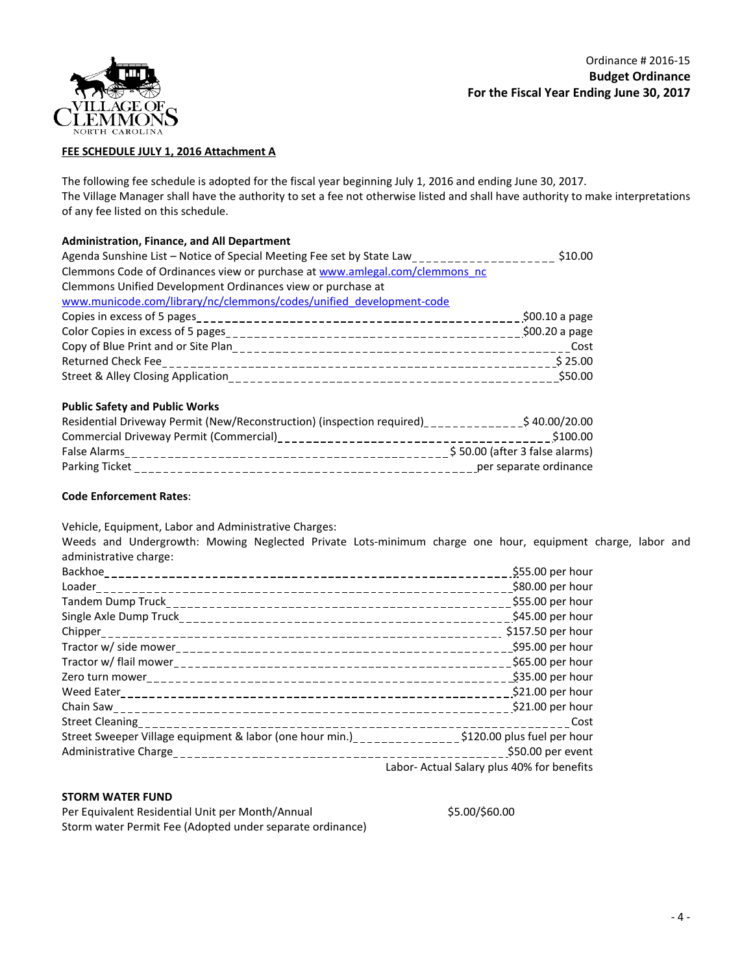

## **FEE SCHEDULE JULY 1, 2016 Attachment A**

The following fee schedule is adopted for the fiscal year beginning July 1, 2016 and ending June 30, 2017. The Village Manager shall have the authority to set a fee not otherwise listed and shall have authority to make interpretations of any fee listed on this schedule.

#### **Administration, Finance, and All Department**

| Agenda Sunshine List - Notice of Special Meeting Fee set by State Law___________________ | \$10.00        |
|------------------------------------------------------------------------------------------|----------------|
| Clemmons Code of Ordinances view or purchase at www.amlegal.com/clemmons nc              |                |
| Clemmons Unified Development Ordinances view or purchase at                              |                |
| www.municode.com/library/nc/clemmons/codes/unified development-code                      |                |
|                                                                                          | \$00.10 a page |
|                                                                                          | \$00.20 a page |
|                                                                                          |                |
|                                                                                          |                |
|                                                                                          | \$50.00        |

#### **Public Safety and Public Works**

| Residential Driveway Permit (New/Reconstruction) (inspection required) | \$40.00/20.00                  |
|------------------------------------------------------------------------|--------------------------------|
| Commercial Driveway Permit (Commercial)                                | \$100.00                       |
| False Alarms                                                           | \$50.00 (after 3 false alarms) |
| Parking Ticket                                                         | per separate ordinance         |
|                                                                        |                                |

#### **Code Enforcement Rates**:

Vehicle, Equipment, Labor and Administrative Charges:

Weeds and Undergrowth: Mowing Neglected Private Lots-minimum charge one hour, equipment charge, labor and administrative charge:

|                                                                                                    | \$55.00 per hour                           |
|----------------------------------------------------------------------------------------------------|--------------------------------------------|
|                                                                                                    | \$80.00 per hour                           |
|                                                                                                    | \$55.00 per hour                           |
|                                                                                                    | \$45.00 per hour                           |
|                                                                                                    | \$157.50 per hour                          |
|                                                                                                    | \$95.00 per hour                           |
|                                                                                                    | $$65.00$ per hour                          |
|                                                                                                    | \$35.00 per hour                           |
|                                                                                                    | \$21.00 per hour                           |
|                                                                                                    | \$21.00 per hour                           |
|                                                                                                    | Cost                                       |
| Street Sweeper Village equipment & labor (one hour min.)_______________\$120.00 plus fuel per hour |                                            |
|                                                                                                    | \$50.00 per event                          |
|                                                                                                    | Labor- Actual Salary plus 40% for benefits |

## **STORM WATER FUND**

Per Equivalent Residential Unit per Month/Annual  $$5.00/$60.00$ Storm water Permit Fee (Adopted under separate ordinance)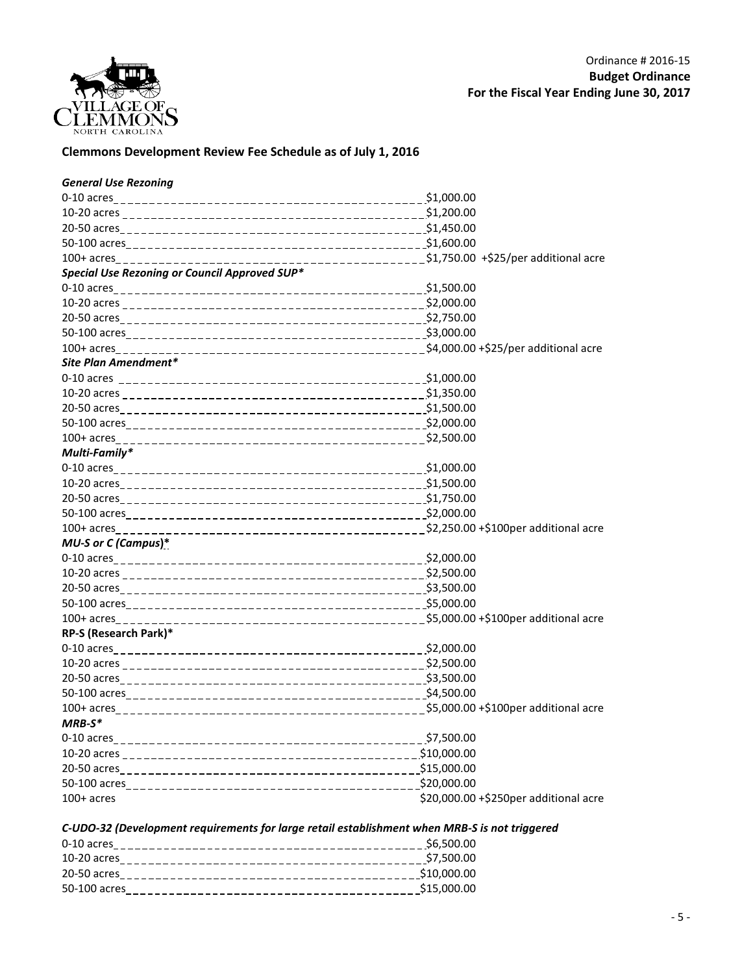

# **Clemmons Development Review Fee Schedule as of July 1, 2016**

| <b>General Use Rezoning</b>                   |                                       |
|-----------------------------------------------|---------------------------------------|
|                                               |                                       |
|                                               |                                       |
|                                               |                                       |
|                                               |                                       |
|                                               |                                       |
| Special Use Rezoning or Council Approved SUP* |                                       |
|                                               | \$1,500.00                            |
|                                               |                                       |
|                                               |                                       |
|                                               |                                       |
|                                               |                                       |
| Site Plan Amendment*                          |                                       |
|                                               |                                       |
|                                               |                                       |
|                                               |                                       |
|                                               |                                       |
|                                               |                                       |
| Multi-Family*                                 |                                       |
|                                               | \$1,000.00                            |
|                                               |                                       |
|                                               |                                       |
|                                               |                                       |
|                                               |                                       |
| MU-S or C (Campus)*                           |                                       |
|                                               |                                       |
|                                               |                                       |
|                                               |                                       |
|                                               |                                       |
|                                               |                                       |
| RP-S (Research Park)*                         |                                       |
|                                               |                                       |
|                                               |                                       |
|                                               |                                       |
|                                               |                                       |
|                                               |                                       |
| $MRB-S*$                                      |                                       |
|                                               | \$7,500.00                            |
|                                               |                                       |
|                                               |                                       |
|                                               |                                       |
| $100+$ acres                                  | \$20,000.00 +\$250per additional acre |

*C-UDO-32 (Development requirements for large retail establishment when MRB-S is not triggered*

| 0-10 acres                                           | \$6,500.00  |
|------------------------------------------------------|-------------|
| $10-20$ acres<br>___________________________________ | \$7.500.00  |
| 20-50 acres                                          | \$10,000.00 |
| 50-100 acres                                         | \$15,000.00 |
|                                                      |             |